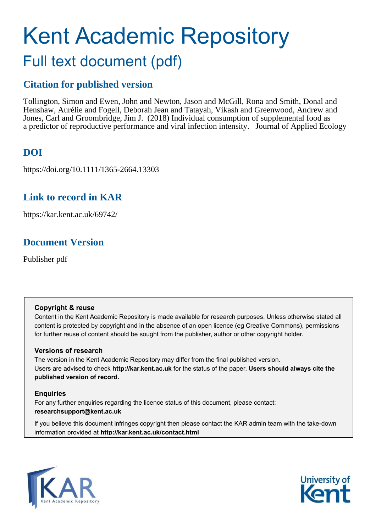# Kent Academic Repository Full text document (pdf)

# **Citation for published version**

Tollington, Simon and Ewen, John and Newton, Jason and McGill, Rona and Smith, Donal and Henshaw, Aurélie and Fogell, Deborah Jean and Tatayah, Vikash and Greenwood, Andrew and Jones, Carl and Groombridge, Jim J. (2018) Individual consumption of supplemental food as a predictor of reproductive performance and viral infection intensity. Journal of Applied Ecology

# **DOI**

https://doi.org/10.1111/1365-2664.13303

# **Link to record in KAR**

https://kar.kent.ac.uk/69742/

# **Document Version**

Publisher pdf

# **Copyright & reuse**

Content in the Kent Academic Repository is made available for research purposes. Unless otherwise stated all content is protected by copyright and in the absence of an open licence (eg Creative Commons), permissions for further reuse of content should be sought from the publisher, author or other copyright holder.

# **Versions of research**

The version in the Kent Academic Repository may differ from the final published version. Users are advised to check **http://kar.kent.ac.uk** for the status of the paper. **Users should always cite the published version of record.**

# **Enquiries**

For any further enquiries regarding the licence status of this document, please contact: **researchsupport@kent.ac.uk**

If you believe this document infringes copyright then please contact the KAR admin team with the take-down information provided at **http://kar.kent.ac.uk/contact.html**



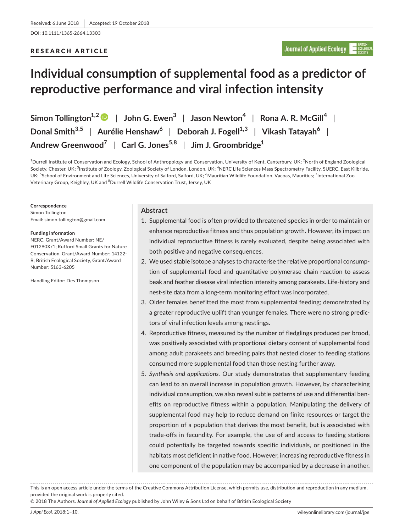DOI: 10.1111/1365-2664.13303

# RESEARCH ARTICLE

# **Individual consumption of supplemental food as a predictor of reproductive performance and viral infection intensity**

 $\mathsf{Simon}\ \mathsf{Tollington}^{1,2}\ \color{red} \blacksquare \ \mathsf{I} \ \mathsf{John}\ \mathsf{G}.\ \mathsf{Even}^{3} \ \mathsf{I} \ \mathsf{Jason}\ \mathsf{Newton}^4 \ \mathsf{I} \ \mathsf{Rona}\ \mathsf{A}.\ \mathsf{R}.\ \mathsf{McGill}^4 \ \mathsf{I}$  $\blacksquare$ Donal Smith $^{3,5}$   $\vert$  Aurélie Henshaw $^6$   $\vert$  Deborah J. Fogell $^{1,3}$   $\vert$  Vikash Tatayah $^6$   $\vert$  $\mathsf{Andrew}$  Greenwood $^7$   $\parallel$  Carl G. Jones $^{5,8}$   $\parallel$  Jim J. Groombridge $^1$ 

 $1$ Durrell Institute of Conservation and Ecology, School of Anthropology and Conservation, University of Kent, Canterbury, UK; <sup>2</sup>North of England Zoological Society, Chester, UK; <sup>3</sup>Institute of Zoology, Zoological Society of London, London, UK; <sup>4</sup>NERC Life Sciences Mass Spectrometry Facility, SUERC, East Kilbride, UK; <sup>5</sup>School of Environment and Life Sciences, University of Salford, Salford, UK; <sup>6</sup>Mauritian Wildlife Foundation, Vacoas, Mauritius; <sup>7</sup>International Zoo Veterinary Group, Keighley, UK and <sup>8</sup>Durrell Wildlife Conservation Trust, Jersey, UK

#### **Correspondence**

Simon Tollington Email: simon.tollington@gmail.com

#### **Funding information**

NERC. Grant/Award Number: NE/ F01290X/1: Rufford Small Grants for Nature Conservation, Grant/Award Number: 14122-B; British Ecological Society, Grant/Award Number: 5163-6205

Handling Editor: Des Thompson

#### **Abstract**

- 1. Supplemental food is often provided to threatened species in order to maintain or enhance reproductive fitness and thus population growth. However, its impact on individual reproductive fitness is rarely evaluated, despite being associated with both positive and negative consequences.
- 2. We used stable isotope analyses to characterise the relative proportional consumption of supplemental food and quantitative polymerase chain reaction to assess beak and feather disease viral infection intensity among parakeets. Life-history and nest-site data from a long-term monitoring effort was incorporated.
- 3. Older females benefitted the most from supplemental feeding; demonstrated by a greater reproductive uplift than younger females. There were no strong predictors of viral infection levels among nestlings.
- 4. Reproductive fitness, measured by the number of fledglings produced per brood, was positively associated with proportional dietary content of supplemental food among adult parakeets and breeding pairs that nested closer to feeding stations consumed more supplemental food than those nesting further away.
- 5. Synthesis and applications. Our study demonstrates that supplementary feeding can lead to an overall increase in population growth. However, by characterising individual consumption, we also reveal subtle patterns of use and differential benefits on reproductive fitness within a population. Manipulating the delivery of supplemental food may help to reduce demand on finite resources or target the proportion of a population that derives the most benefit, but is associated with trade-offs in fecundity. For example, the use of and access to feeding stations could potentially be targeted towards specific individuals, or positioned in the habitats most deficient in native food. However, increasing reproductive fitness in one component of the population may be accompanied by a decrease in another.

© 2018 The Authors. Journal of Applied Ecology published by John Wiley & Sons Ltd on behalf of British Ecological Society

This is an open access article under the terms of the [Creative Commons Attribution](http://creativecommons.org/licenses/by/4.0/) License, which permits use, distribution and reproduction in any medium, provided the original work is properly cited.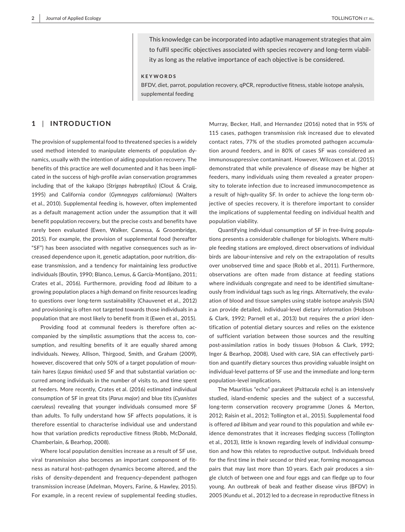This knowledge can be incorporated into adaptive management strategies that aim to fulfil specific objectives associated with species recovery and long-term viability as long as the relative importance of each objective is be considered.

#### **KEYWORDS**

BFDV, diet, parrot, population recovery, qPCR, reproductive fitness, stable isotope analysis, supplemental feeding

# 1 | INTRODUCTION

The provision of supplemental food to threatened species is a widely used method intended to manipulate elements of population dynamics, usually with the intention of aiding population recovery. The benefits of this practice are well documented and it has been implicated in the success of high-profile avian conservation programmes including that of the kakapo (Strigops habroptilus) (Clout & Craig, 1995) and California condor (Gymnogyps californianus) (Walters et al., 2010). Supplemental feeding is, however, often implemented as a default management action under the assumption that it will benefit population recovery, but the precise costs and benefits have rarely been evaluated (Ewen, Walker, Canessa, & Groombridge, 2015). For example, the provision of supplemental food (hereafter "SF") has been associated with negative consequences such as increased dependence upon it, genetic adaptation, poor nutrition, disease transmission, and a tendency for maintaining less productive individuals (Boutin, 1990; Blanco, Lemus, & García-Montijano, 2011; Crates et al., 2016). Furthermore, providing food ad libitum to a growing population places a high demand on finite resources leading to questions over long-term sustainability (Chauvenet et al., 2012) and provisioning is often not targeted towards those individuals in a population that are most likely to benefit from it (Ewen et al., 2015).

Providing food at communal feeders is therefore often accompanied by the simplistic assumptions that the access to, consumption, and resulting benefits of it are equally shared among individuals. Newey, Allison, Thirgood, Smith, and Graham (2009), however, discovered that only 50% of a target population of mountain hares (Lepus timidus) used SF and that substantial variation occurred among individuals in the number of visits to, and time spent at feeders. More recently, Crates et al. (2016) estimated individual consumption of SF in great tits (Parus major) and blue tits (Cyanistes caeruleus) revealing that younger individuals consumed more SF than adults. To fully understand how SF affects populations, it is therefore essential to characterise individual use and understand how that variation predicts reproductive fitness (Robb, McDonald, Chamberlain, & Bearhop, 2008).

Where local population densities increase as a result of SF use, viral transmission also becomes an important component of fitness as natural host-pathogen dynamics become altered, and the risks of density-dependent and frequency-dependent pathogen transmission increase (Adelman, Moyers, Farine, & Hawley, 2015). For example, in a recent review of supplemental feeding studies,

Murray, Becker, Hall, and Hernandez (2016) noted that in 95% of 115 cases, pathogen transmission risk increased due to elevated contact rates, 77% of the studies promoted pathogen accumulation around feeders, and in 80% of cases SF was considered an immunosuppressive contaminant. However, Wilcoxen et al. (2015) demonstrated that while prevalence of disease may be higher at feeders, many individuals using them revealed a greater propensity to tolerate infection due to increased immunocompetence as a result of high-quality SF. In order to achieve the long-term objective of species recovery, it is therefore important to consider the implications of supplemental feeding on individual health and population viability.

Quantifying individual consumption of SF in free-living populations presents a considerable challenge for biologists. Where multiple feeding stations are employed, direct observations of individual birds are labour-intensive and rely on the extrapolation of results over unobserved time and space (Robb et al., 2011). Furthermore, observations are often made from distance at feeding stations where individuals congregate and need to be identified simultaneously from individual tags such as leg rings. Alternatively, the evaluation of blood and tissue samples using stable isotope analysis (SIA) can provide detailed, individual-level dietary information (Hobson & Clark, 1992; Parnell et al., 2013) but requires the a priori identification of potential dietary sources and relies on the existence of sufficient variation between those sources and the resulting post-assimilation ratios in body tissues (Hobson & Clark, 1992; Inger & Bearhop, 2008). Used with care, SIA can effectively partition and quantify dietary sources thus providing valuable insight on individual-level patterns of SF use and the immediate and long-term population-level implications.

The Mauritius "echo" parakeet (Psittacula echo) is an intensively studied, island-endemic species and the subject of a successful, long-term conservation recovery programme (Jones & Merton, 2012; Raisin et al., 2012; Tollington et al., 2015). Supplemental food is offered ad libitum and year round to this population and while evidence demonstrates that it increases fledging success (Tollington et al., 2013), little is known regarding levels of individual consumption and how this relates to reproductive output. Individuals breed for the first time in their second or third year, forming monogamous pairs that may last more than 10 years. Each pair produces a single clutch of between one and four eggs and can fledge up to four young. An outbreak of beak and feather disease virus (BFDV) in 2005 (Kundu et al., 2012) led to a decrease in reproductive fitness in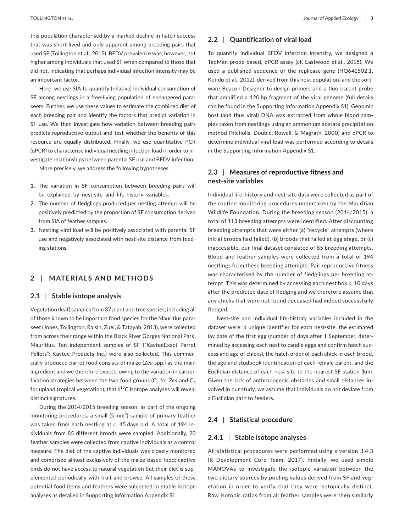this population characterised by a marked decline in hatch success that was short-lived and only apparent among breeding pairs that used SF (Tollington et al., 2015). BFDV prevalence was, however, not higher among individuals that used SF when compared to those that did not, indicating that perhaps individual infection intensity may be an important factor.

Here, we use SIA to quantify (relative) individual consumption of SF among nestlings in a free-living population of endangered parakeets. Further, we use these values to estimate the combined diet of each breeding pair and identify the factors that predict variation in SF use. We then investigate how variation between breeding pairs predicts reproductive output and test whether the benefits of this resource are equally distributed. Finally, we use quantitative PCR (qPCR) to characterise individual nestling infection load in order to investigate relationships between parental SF use and BFDV infection.

More precisely, we address the following hypotheses:

- 1. The variation in SF consumption between breeding pairs will be explained by nest-site and life-history variables.
- 2. The number of fledglings produced per nesting attempt will be positively predicted by the proportion of SF consumption derived from SIA of feather samples.
- 3. Nestling viral load will be positively associated with parental SF use and negatively associated with nest-site distance from feeding stations.

#### $\overline{2}$ **MATERIALS AND METHODS**

#### 2.1 | Stable isotope analysis

Vegetation (leaf) samples from 37 plant and tree species, including all of those known to be important food species for the Mauritius parakeet (Jones, Tollington, Raisin, Zuel, & Tatayah, 2013), were collected from across their range within the Black River Gorges National Park, Mauritius. Ten independent samples of SF ("KayteeExact Parrot Pellets"; Kaytee Products Inc.) were also collected. This commercially produced parrot food consists of maize (Zea spp.) as the main ingredient and we therefore expect, owing to the variation in carbon fixation strategies between the two food groups ( $C_4$  for Zea and  $C_3$ for upland tropical vegetation), that  $\delta^{13}$ C isotope analyses will reveal distinct signatures.

During the 2014/2015 breeding season, as part of the ongoing monitoring procedures, a small (5 mm<sup>2</sup>) sample of primary feather was taken from each nestling at c. 45 days old. A total of 194 individuals from 85 different broods were sampled. Additionally, 20 feather samples were collected from captive individuals as a control measure. The diet of the captive individuals was closely monitored and comprised almost exclusively of the maize-based food; captive birds do not have access to natural vegetation but their diet is supplemented periodically with fruit and browse. All samples of these potential food items and feathers were subjected to stable isotope analyses as detailed in Supporting Information Appendix S1.

### 2.2 | Quantification of viral load

To quantify individual BFDV infection intensity, we designed a TagMan probe-based, gPCR assay (cf. Eastwood et al., 2015). We used a published sequence of the replicase gene (HQ641502.1, Kundu et al., 2012), derived from this host population, and the software Beacon Designer to design primers and a fluorescent probe that amplified a 120 bp fragment of the viral genome (full details can be found in the Supporting Information Appendix S1). Genomic host (and thus viral) DNA was extracted from whole blood samples taken from nestlings using an ammonium acetate precipitation method (Nicholls, Double, Rowell, & Magrath, 2000) and qPCR to determine individual viral load was performed according to details in the Supporting Information Appendix S1.

# 2.3 | Measures of reproductive fitness and nest-site variables

Individual life-history and nest-site data were collected as part of the routine monitoring procedures undertaken by the Mauritian Wildlife Foundation. During the breeding season (2014/2015), a total of 113 breeding attempts were identified. After discounting breeding attempts that were either (a) "recycle" attempts (where initial broods had failed), (b) broods that failed at egg stage, or (c) inaccessible, our final dataset consisted of 85 breeding attempts. Blood and feather samples were collected from a total of 194 nestlings from these breeding attempts. Pair reproductive fitness was characterised by the number of fledglings per breeding attempt. This was determined by accessing each nest box c. 10 days after the predicted date of fledging and we therefore assume that any chicks that were not found deceased had indeed successfully fledged.

Nest-site and individual life-history variables included in the dataset were: a unique identifier for each nest-site, the estimated lay date of the first egg (number of days after 1 September, determined by accessing each nest to candle eggs and confirm hatch success and age of chicks), the hatch order of each chick in each brood, the age and studbook identification of each female parent, and the Euclidian distance of each nest-site to the nearest SF station (km). Given the lack of anthropogenic obstacles and small distances involved in our study, we assume that individuals do not deviate from a Euclidian path to feeders.

### 2.4 | Statistical procedure

#### 2.4.1 Stable isotope analyses

All statistical procedures were performed using R version 3.4.3 (R Development Core Team, 2017). Initially, we used simple MANOVAs to investigate the isotopic variation between the two dietary sources by pooling values derived from SF and vegetation in order to verify that they were isotopically distinct. Raw isotopic ratios from all feather samples were then similarly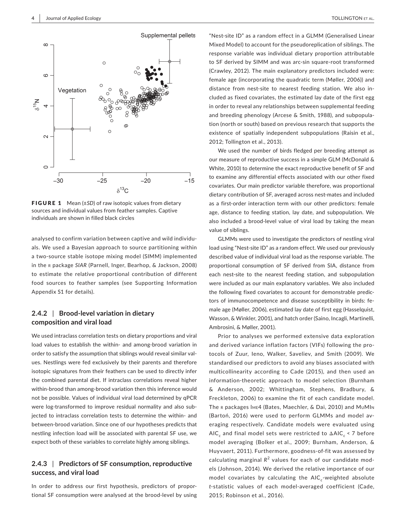

**FIGURE 1** Mean (±SD) of raw isotopic values from dietary sources and individual values from feather samples. Captive individuals are shown in filled black circles

analysed to confirm variation between captive and wild individuals. We used a Bayesian approach to source partitioning within a two-source stable isotope mixing model (SIMM) implemented in the R package SIAR (Parnell, Inger, Bearhop, & Jackson, 2008) to estimate the relative proportional contribution of different food sources to feather samples (see Supporting Information Appendix S1 for details).

# **2.4.2** | Brood-level variation in dietary **composition and viral load**

We used intraclass correlation tests on dietary proportions and viral load values to establish the within- and among-brood variation in order to satisfy the assumption that siblings would reveal similar values. Nestlings were fed exclusively by their parents and therefore isotopic signatures from their feathers can be used to directly infer the combined parental diet. If intraclass correlations reveal higher within-brood than among-brood variation then this inference would not be possible. Values of individual viral load determined by qPCR were log-transformed to improve residual normality and also subjected to intraclass correlation tests to determine the within- and between-brood variation. Since one of our hypotheses predicts that nestling infection load will be associated with parental SF use, we expect both of these variables to correlate highly among siblings.

# **2.4.3** Predictors of SF consumption, reproductive **success, and viral load**

In order to address our first hypothesis, predictors of proportional SF consumption were analysed at the brood-level by using

"Nest-site ID" as a random effect in a GLMM (Generalised Linear Mixed Model) to account for the pseudoreplication of siblings. The response variable was individual dietary proportion attributable to SF derived by SIMM and was arc-sin square-root transformed (Crawley, 2012). The main explanatory predictors included were: female age (incorporating the quadratic term (Møller, 2006)) and distance from nest-site to nearest feeding station. We also included as fixed covariates, the estimated lay date of the first egg in order to reveal any relationships between supplemental feeding and breeding phenology (Arcese & Smith, 1988), and subpopulation (north or south) based on previous research that supports the existence of spatially independent subpopulations (Raisin et al., 2012; Tollington et al., 2013).

We used the number of birds fledged per breeding attempt as our measure of reproductive success in a simple GLM (McDonald & White, 2010) to determine the exact reproductive benefit of SF and to examine any differential effects associated with our other fixed covariates. Our main predictor variable therefore, was proportional dietary contribution of SF, averaged across nest-mates and included as a first-order interaction term with our other predictors: female age, distance to feeding station, lay date, and subpopulation. We also included a brood-level value of viral load by taking the mean value of siblings.

GLMMs were used to investigate the predictors of nestling viral load using "Nest-site ID" as a random effect. We used our previously described value of individual viral load as the response variable. The proportional consumption of SF derived from SIA, distance from each nest-site to the nearest feeding station, and subpopulation were included as our main explanatory variables. We also included the following fixed covariates to account for demonstrable predictors of immunocompetence and disease susceptibility in birds: female age (Møller, 2006), estimated lay date of first egg (Hasselquist, Wasson, & Winkler, 2001), and hatch order (Saino, Incagli, Martinelli, Ambrosini, & Møller, 2001).

Prior to analyses we performed extensive data exploration and derived variance inflation factors (VIFs) following the protocols of Zuur, Ieno, Walker, Saveliev, and Smith (2009). We standardised our predictors to avoid any biases associated with multicollinearity according to Cade (2015), and then used an information-theoretic approach to model selection (Burnham & Anderson, 2002; Whittingham, Stephens, Bradbury, & Freckleton, 2006) to examine the fit of each candidate model. The R packages IME4 (Bates, Maechler, & Dai, 2010) and MuMIN (Bartoń, 2016) were used to perform GLMMs and model averaging respectively. Candidate models were evaluated using AIC<sub>c</sub> and final model sets were restricted to ΔAIC<sub>c</sub> < 7 before model averaging (Bolker et al., 2009; Burnham, Anderson, & Huyvaert, 2011). Furthermore, goodness- of-fit was assessed by calculating marginal R<sup>2</sup> values for each of our candidate models (Johnson, 2014). We derived the relative importance of our model covariates by calculating the AIC<sub>c</sub>-weighted absolute t-statistic values of each model-averaged coefficient (Cade, 2015; Robinson et al., 2016).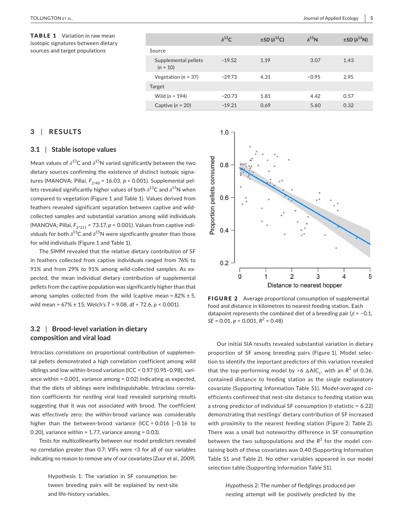**TABLE 1** Variation in raw mean isotopic signatures between dietary sources and target populations

|                                    | $\delta^{13}$ C | $\pm$ SD ( $\delta$ <sup>13</sup> C) | $\delta^{15}$ N | $\pm$ SD ( $\delta$ <sup>15</sup> N) |
|------------------------------------|-----------------|--------------------------------------|-----------------|--------------------------------------|
| Source                             |                 |                                      |                 |                                      |
| Supplemental pellets<br>$(n = 10)$ | $-19.52$        | 1.19                                 | 3.07            | 1.43                                 |
| Vegetation ( $n = 37$ )            | $-29.73$        | 4.31                                 | $-0.95$         | 2.95                                 |
| Target                             |                 |                                      |                 |                                      |
| Wild ( $n = 194$ )                 | $-20.73$        | 1.81                                 | 4.42            | 0.57                                 |
| Captive $(n = 20)$                 | $-19.21$        | 0.69                                 | 5.60            | 0.32                                 |

### **ザ科**|**科RESULTS**

### **3.1** | Stable isotope values

Mean values of  $\delta^{13}$ C and  $\delta^{15}$ N varied significantly between the two dietary sources confirming the existence of distinct isotopic signatures (MANOVA; Pillai, F<sub>2</sub>,<sub>40</sub> = 16.03, *p* < 0.001). Supplemental pellets revealed significantly higher values of both  $\delta^{13}$ C and  $\delta^{15}$ N when compared to vegetation (Figure 1 and Table 1). Values derived from feathers revealed significant separation between captive and wildcollected samples and substantial variation among wild individuals (MANOVA; Pillai, *F<sub>2</sub>,*<sub>211</sub> = 73.17, *p* < 0.001). Values from captive individuals for both  $\delta^{13}$ C and  $\delta^{15}$ N were significantly greater than those for wild individuals (Figure 1 and Table 1).

The SIMM revealed that the relative dietary contribution of SF in feathers collected from captive individuals ranged from 76% to 91% and from 29% to 91% among wild-collected samples. As expected, the mean individual dietary contribution of supplemental pellets from the captive population was significantly higher than that among samples collected from the wild (captive mean =  $82\% \pm 5$ , wild mean = 67% ± 15; Welch's *T* = 9.08, df = 72.6, p < 0.001).

# **3.2** | Brood-level variation in dietary **composition and viral load**

Intraclass correlations on proportional contribution of supplemental pellets demonstrated a high correlation coefficient among wild siblings and low within-brood variation (ICC =  $0.97$  [0.95-0.98], variance within =  $0.001$ , variance among =  $0.02$ ) indicating as expected, that the diets of siblings were indistinguishable. Intraclass correlation coefficients for nestling viral load revealed surprising results suggesting that it was not associated with brood. The coefficient was effectively zero; the within-brood variance was considerably higher than the between-brood variance (ICC =  $0.016$  [-0.16 to 0.20], variance within =  $1.77$ , variance among = 0.03).

Tests for multicollinearity between our model predictors revealed no correlation greater than 0.7; VIFs were <3 for all of our variables indicating no reason to remove any of our covariates (Zuur et al., 2009).

> Hypothesis 1: The variation in SF consumption between breeding pairs will be explained by nest-site and life-history variables.



FIGURE 2 Average proportional consumption of supplemental food and distance in kilometres to nearest feeding station. Each datapoint represents the combined diet of a breeding pair (*β* = -0.1,  $SE = 0.01, p < 0.001, R^2 = 0.48$ 

Our initial SIA results revealed substantial variation in dietary proportion of SF among breeding pairs (Figure 1). Model selection to identify the important predictors of this variation revealed that the top-performing model by >6  $\Delta AIC_c$ , with an  $R^2$  of 0.36, contained distance to feeding station as the single explanatory covariate (Supporting Information Table S1). Model-averaged coefficients confirmed that nest-site distance to feeding station was a strong predictor of individual SF consumption (t-statistic = 6.22) demonstrating that nestlings' dietary contribution of SF increased with proximity to the nearest feeding station (Figure 2; Table 2). There was a small but noteworthy difference in SF consumption between the two subpopulations and the  $R^2$  for the model containing both of these covariates was 0.40 (Supporting Information Table S1 and Table 2). No other variables appeared in our model selection table (Supporting Information Table S1).

> Hypothesis 2: The number of fledglings produced per nesting attempt will be positively predicted by the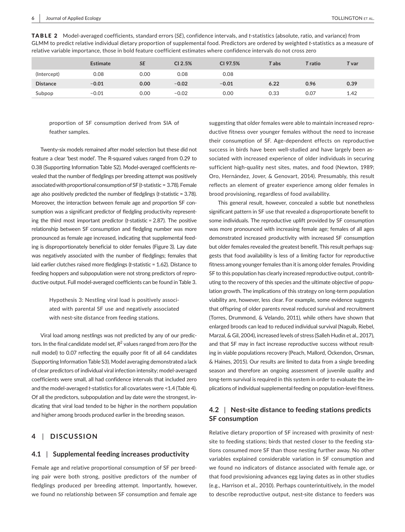**Distance** Subpop

1.42

| OLITIN to predict relative mannagarancial y proportion or supplemental rood. I redictors are ordered by weighted t-statistics as a measure o<br>relative variable importance, those in bold feature coefficient estimates where confidence intervals do not cross zero |          |      |         |          |       |         |       |  |
|------------------------------------------------------------------------------------------------------------------------------------------------------------------------------------------------------------------------------------------------------------------------|----------|------|---------|----------|-------|---------|-------|--|
|                                                                                                                                                                                                                                                                        | Estimate | SE   | CI 2.5% | CI 97.5% | T abs | T ratio | T var |  |
| (Intercept)                                                                                                                                                                                                                                                            | 0.08     | 0.00 | 0.08    | 0.08     |       |         |       |  |
| <b>Distance</b>                                                                                                                                                                                                                                                        | $-0.01$  | 0.00 | $-0.02$ | $-0.01$  |       | 0.96    | 0.39  |  |

 $0.00$ 

 $-0.02$ 

TABLE 2 Model-averaged coefficients, standard errors (SE), confidence intervals, and t-statistics (absolute, ratio, and variance) from GJ MM to predict relative individual dietary proportion of supplemental food. Predictors are ordered by weighted t-statistics as a measure of

#### proportion of SF consumption derived from SIA of feather samples.

 $0.00$ 

 $-0.01$ 

Twenty-six models remained after model selection but these did not feature a clear 'best model'. The R-squared values ranged from 0.29 to 0.38 (Supporting Information Table S2). Model-averaged coefficients revealed that the number of fledglings per breeding attempt was positively associated with proportional consumption of SF ( $t$ -statistic = 3.78). Female age also positively predicted the number of fledglings ( $t$ -statistic = 3.78). Moreover, the interaction between female age and proportion SF consumption was a significant predictor of fledgling productivity representing the third most important predictor (t-statistic =  $2.87$ ). The positive relationship between SF consumption and fledgling number was more pronounced as female age increased, indicating that supplemental feeding is disproportionately beneficial to older females (Figure 3). Lay date was negatively associated with the number of fledglings; females that laid earlier clutches raised more fledglings (t-statistic = 1.62). Distance to feeding hoppers and subpopulation were not strong predictors of reproductive output. Full model-averaged coefficients can be found in Table 3.

> Hypothesis 3: Nestling viral load is positively associated with parental SF use and negatively associated with nest-site distance from feeding stations.

Viral load among nestlings was not predicted by any of our predictors. In the final candidate model set,  $R^2$  values ranged from zero (for the null model) to 0.07 reflecting the equally poor fit of all 64 candidates (Supporting Information Table S3). Model averaging demonstrated a lack of clear predictors of individual viral infection intensity; model-averaged coefficients were small, all had confidence intervals that included zero and the model-averaged t-statistics for all covariates were < 1.4 (Table 4). Of all the predictors, subpopulation and lay date were the strongest, indicating that viral load tended to be higher in the northern population and higher among broods produced earlier in the breeding season.

#### **DISCUSSION**  $\overline{4}$

#### 4.1 | Supplemental feeding increases productivity

Female age and relative proportional consumption of SF per breeding pair were both strong, positive predictors of the number of fledglings produced per breeding attempt. Importantly, however, we found no relationship between SF consumption and female age

suggesting that older females were able to maintain increased reproductive fitness over younger females without the need to increase their consumption of SF. Age-dependent effects on reproductive success in birds have been well-studied and have largely been associated with increased experience of older individuals in securing sufficient high-quality nest sites, mates, and food (Newton, 1989; Oro, Hernández, Jover, & Genovart, 2014). Presumably, this result reflects an element of greater experience among older females in brood provisioning, regardless of food availability.

 $0.07$ 

 $0.33$ 

This general result, however, concealed a subtle but nonetheless significant pattern in SF use that revealed a disproportionate benefit to some individuals. The reproductive uplift provided by SF consumption was more pronounced with increasing female age; females of all ages demonstrated increased productivity with increased SF consumption but older females revealed the greatest benefit. This result perhaps suggests that food availability is less of a limiting factor for reproductive fitness among younger females than it is among older females. Providing SF to this population has clearly increased reproductive output, contributing to the recovery of this species and the ultimate objective of population growth. The implications of this strategy on long-term population viability are, however, less clear. For example, some evidence suggests that offspring of older parents reveal reduced survival and recruitment (Torres, Drummond, & Velando, 2011), while others have shown that enlarged broods can lead to reduced individual survival (Naguib, Riebel, Marzal, & Gil, 2004), increased levels of stress (Salleh Hudin et al., 2017), and that SF may in fact increase reproductive success without resulting in viable populations recovery (Peach, Mallord, Ockendon, Orsman, & Haines, 2015). Our results are limited to data from a single breeding season and therefore an ongoing assessment of juvenile quality and long-term survival is required in this system in order to evaluate the implications of individual supplemental feeding on population-level fitness.

# 4.2 | Nest-site distance to feeding stations predicts **SF** consumption

Relative dietary proportion of SF increased with proximity of nestsite to feeding stations; birds that nested closer to the feeding stations consumed more SF than those nesting further away. No other variables explained considerable variation in SF consumption and we found no indicators of distance associated with female age, or that food provisioning advances egg laying dates as in other studies (e.g., Harrison et al., 2010). Perhaps counterintuitively, in the model to describe reproductive output, nest-site distance to feeders was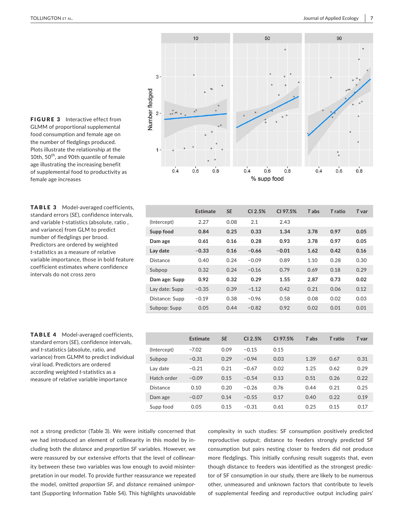90

FIGURE 3 Interactive effect from **GLMM** of proportional supplemental food consumption and female age on the number of fledglings produced. Plots illustrate the relationship at the 10th, 50<sup>th</sup>, and 90th quantile of female age illustrating the increasing benefit of supplemental food to productivity as female age increases

TABLE 3 Model-averaged coefficients, standard errors (SE), confidence intervals, and variable t-statistics (absolute, ratio, and variance) from GLM to predict number of fledglings per brood. Predictors are ordered by weighted t-statistics as a measure of relative variable importance, those in bold feature coefficient estimates where confidence intervals do not cross zero

 $3 -$ Number fledged  $\overline{c}$  $0.4$  $0.6$  $0.8$  $0.6$  $0.8$  $0.4$  $0.6$  $0.8$  $0.4$ % supp food

50

 $10$ 

|                | <b>Estimate</b> | <b>SE</b> | CI 2.5% | CI 97.5% | T abs | <b>T</b> ratio | T var |
|----------------|-----------------|-----------|---------|----------|-------|----------------|-------|
| (Intercept)    | 2.27            | 0.08      | 2.1     | 2.43     |       |                |       |
| Supp food      | 0.84            | 0.25      | 0.33    | 1.34     | 3.78  | 0.97           | 0.05  |
| Dam age        | 0.61            | 0.16      | 0.28    | 0.93     | 3.78  | 0.97           | 0.05  |
| Lay date       | $-0.33$         | 0.16      | $-0.66$ | $-0.01$  | 1.62  | 0.42           | 0.16  |
| Distance       | 0.40            | 0.24      | $-0.09$ | 0.89     | 1.10  | 0.28           | 0.30  |
| Subpop         | 0.32            | 0.24      | $-0.16$ | 0.79     | 0.69  | 0.18           | 0.29  |
| Dam age: Supp  | 0.92            | 0.32      | 0.29    | 1.55     | 2.87  | 0.73           | 0.02  |
| Lay date: Supp | $-0.35$         | 0.39      | $-1.12$ | 0.42     | 0.21  | 0.06           | 0.12  |
| Distance: Supp | $-0.19$         | 0.38      | $-0.96$ | 0.58     | 0.08  | 0.02           | 0.03  |
| Subpop: Supp   | 0.05            | 0.44      | $-0.82$ | 0.92     | 0.02  | 0.01           | 0.01  |

TABLE 4 Model-averaged coefficients, standard errors (SE), confidence intervals, and t-statistics (absolute, ratio, and variance) from GLMM to predict individual viral load. Predictors are ordered according weighted t-statistics as a measure of relative variable importance

|             | <b>Estimate</b> | <b>SE</b> | $CI$ 2.5% | CI 97.5% | T abs | <b>T</b> ratio | T var |
|-------------|-----------------|-----------|-----------|----------|-------|----------------|-------|
| (Intercept) | $-7.02$         | 0.09      | $-0.15$   | 0.15     |       |                |       |
| Subpop      | $-0.31$         | 0.29      | $-0.94$   | 0.03     | 1.39  | 0.67           | 0.31  |
| Lay date    | $-0.21$         | 0.21      | $-0.67$   | 0.02     | 1.25  | 0.62           | 0.29  |
| Hatch order | $-0.09$         | 0.15      | $-0.54$   | 0.13     | 0.51  | 0.26           | 0.22  |
| Distance    | 0.10            | 0.20      | $-0.26$   | 0.76     | 0.44  | 0.21           | 0.25  |
| Dam age     | $-0.07$         | 0.14      | $-0.55$   | 0.17     | 0.40  | 0.22           | 0.19  |
| Supp food   | 0.05            | 0.15      | $-0.31$   | 0.61     | 0.25  | 0.15           | 0.17  |

not a strong predictor (Table 3). We were initially concerned that we had introduced an element of collinearity in this model by including both the distance and proportion SF variables. However, we were reassured by our extensive efforts that the level of collinearity between these two variables was low enough to avoid misinterpretation in our model. To provide further reassurance we repeated the model, omitted proportion SF, and distance remained unimportant (Supporting Information Table S4). This highlights unavoidable

complexity in such studies: SF consumption positively predicted reproductive output; distance to feeders strongly predicted SF consumption but pairs nesting closer to feeders did not produce more fledglings. This initially confusing result suggests that, even though distance to feeders was identified as the strongest predictor of SF consumption in our study, there are likely to be numerous other, unmeasured and unknown factors that contribute to levels of supplemental feeding and reproductive output including pairs'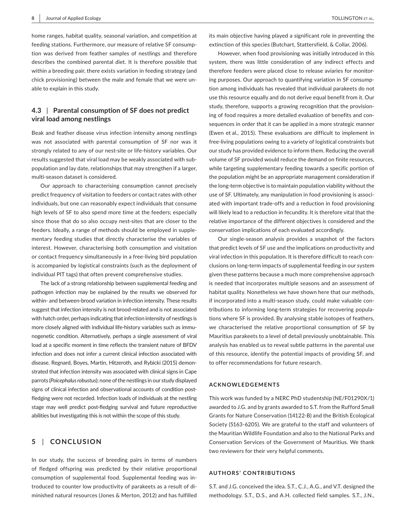home ranges, habitat quality, seasonal variation, and competition at feeding stations. Furthermore, our measure of relative SF consumption was derived from feather samples of nestlings and therefore describes the combined parental diet. It is therefore possible that within a breeding pair, there exists variation in feeding strategy (and chick provisioning) between the male and female that we were unable to explain in this study.

# 4.3 | Parental consumption of SF does not predict viral load among nestlings

Beak and feather disease virus infection intensity among nestlings was not associated with parental consumption of SF nor was it strongly related to any of our nest-site or life-history variables. Our results suggested that viral load may be weakly associated with subpopulation and lay date, relationships that may strengthen if a larger, multi-season dataset is considered.

Our approach to characterising consumption cannot precisely predict frequency of visitation to feeders or contact rates with other individuals, but one can reasonably expect individuals that consume high levels of SF to also spend more time at the feeders; especially since those that do so also occupy nest-sites that are closer to the feeders. Ideally, a range of methods should be employed in supplementary feeding studies that directly characterise the variables of interest. However, characterising both consumption and visitation or contact frequency simultaneously in a free-living bird population is accompanied by logistical constraints (such as the deployment of individual PIT tags) that often prevent comprehensive studies.

The lack of a strong relationship between supplemental feeding and pathogen infection may be explained by the results we observed for within- and between-brood variation in infection intensity. These results suggest that infection intensity is not brood-related and is not associated with hatch order, perhaps indicating that infection intensity of nestlings is more closely aligned with individual life-history variables such as immunogenetic condition. Alternatively, perhaps a single assessment of viral load at a specific moment in time reflects the transient nature of BFDV infection and does not infer a current clinical infection associated with disease. Regnard, Boyes, Martin, Hitzeroth, and Rybicki (2015) demonstrated that infection intensity was associated with clinical signs in Cape parrots (Poicephalus robustus); none of the nestlings in our study displayed signs of clinical infection and observational accounts of condition postfledging were not recorded. Infection loads of individuals at the nestling stage may well predict post-fledging survival and future reproductive abilities but investigating this is not within the scope of this study.

#### **CONCLUSION**  $5<sup>5</sup>$

In our study, the success of breeding pairs in terms of numbers of fledged offspring was predicted by their relative proportional consumption of supplemental food. Supplemental feeding was introduced to counter low productivity of parakeets as a result of diminished natural resources (Jones & Merton, 2012) and has fulfilled its main objective having played a significant role in preventing the extinction of this species (Butchart, Stattersfield, & Collar, 2006).

However, when food provisioning was initially introduced in this system, there was little consideration of any indirect effects and therefore feeders were placed close to release aviaries for monitoring purposes. Our approach to quantifying variation in SF consumption among individuals has revealed that individual parakeets do not use this resource equally and do not derive equal benefit from it. Our study, therefore, supports a growing recognition that the provisioning of food requires a more detailed evaluation of benefits and consequences in order that it can be applied in a more strategic manner (Ewen et al., 2015). These evaluations are difficult to implement in free-living populations owing to a variety of logistical constraints but our study has provided evidence to inform them. Reducing the overall volume of SF provided would reduce the demand on finite resources, while targeting supplementary feeding towards a specific portion of the population might be an appropriate management consideration if the long-term objective is to maintain population viability without the use of SF. Ultimately, any manipulation in food provisioning is associated with important trade-offs and a reduction in food provisioning will likely lead to a reduction in fecundity. It is therefore vital that the relative importance of the different objectives is considered and the conservation implications of each evaluated accordingly.

Our single-season analysis provides a snapshot of the factors that predict levels of SF use and the implications on productivity and viral infection in this population. It is therefore difficult to reach conclusions on long-term impacts of supplemental feeding in our system given these patterns because a much more comprehensive approach is needed that incorporates multiple seasons and an assessment of habitat quality. Nonetheless we have shown here that our methods, if incorporated into a multi-season study, could make valuable contributions to informing long-term strategies for recovering populations where SF is provided. By analysing stable isotopes of feathers, we characterised the relative proportional consumption of SF by Mauritius parakeets to a level of detail previously unobtainable. This analysis has enabled us to reveal subtle patterns in the parental use of this resource, identify the potential impacts of providing SF, and to offer recommendations for future research.

### ACKNOWLEDGEMENTS

This work was funded by a NERC PhD studentship (NE/F01290X/1) awarded to J.G. and by grants awarded to S.T. from the Rufford Small Grants for Nature Conservation (14122-B) and the British Ecological Society (5163-6205). We are grateful to the staff and volunteers of the Mauritian Wildlife Foundation and also to the National Parks and Conservation Services of the Government of Mauritius. We thank two reviewers for their very helpful comments.

#### **AUTHORS' CONTRIBUTIONS**

S.T. and J.G. conceived the idea. S.T., C.J., A.G., and V.T. designed the methodology. S.T., D.S., and A.H. collected field samples. S.T., J.N.,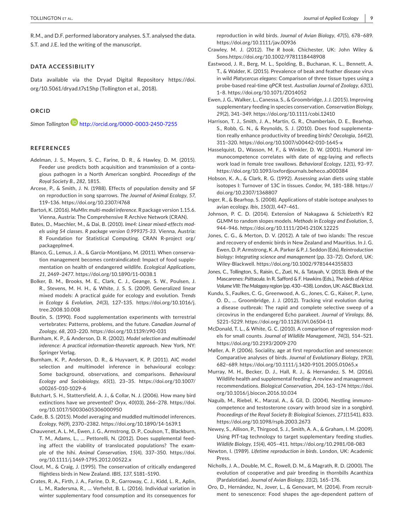R.M., and D.F. performed laboratory analyses. S.T. analysed the data. S.T. and J.E. led the writing of the manuscript.

#### DATA ACCESSIBILITY

Data available via the Dryad Digital Repository https://doi. org/10.5061/dryad.t7s15hp (Tollington et al., 2018).

#### ORCID

Simon Tollington D http://orcid.org/0000-0003-2450-7255

#### **REFERENCES**

- Adelman, J. S., Movers, S. C., Farine, D. R., & Hawley, D. M. (2015). Feeder use predicts both acquisition and transmission of a contagious pathogen in a North American songbird. Proceedings of the Royal Society B., 282, 1815.
- Arcese, P., & Smith, J. N. (1988). Effects of population density and SF on reproduction in song sparrows. The Journal of Animal Ecology, 57, 119-136. https://doi.org/10.2307/4768
- Bartoń, K. (2016). MuMIn: multi-model inference. R package version 1.15.6. Vienna, Austria: The Comprehensive R Archive Network (CRAN).
- Bates, D., Maechler, M., & Dai, B. (2010). Ime4: Linear mixed-effects models using S4 classes. R package version 0.999375-33. Vienna, Austria: R Foundation for Statistical Computing. CRAN R-project org/ packageplme4.
- Blanco, G., Lemus, J. A., & García-Montijano, M. (2011). When conservation management becomes contraindicated: Impact of food supplementation on health of endangered wildlife. Ecological Applications, 21, 2469-2477. https://doi.org/10.1890/11-0038.1
- Bolker, B. M., Brooks, M. E., Clark, C. J., Geange, S. W., Poulsen, J. R., Stevens, M. H. H., & White, J. S. S. (2009). Generalized linear mixed models: A practical guide for ecology and evolution. Trends in Ecology & Evolution, 24(3), 127-135. https://doi.org/10.1016/j. tree.2008.10.008
- Boutin, S. (1990). Food supplementation experiments with terrestrial vertebrates: Patterns, problems, and the future. Canadian Journal of Zoology, 68, 203-220. https://doi.org/10.1139/z90-031
- Burnham, K. P., & Anderson, D. R. (2002). Model selection and multimodel inference: A practical information-theoretic approach. New York, NY: Springer Verlag.
- Burnham, K. P., Anderson, D. R., & Huyvaert, K. P. (2011). AIC model selection and multimodel inference in behavioural ecology: Some background, observations, and comparisons. Behavioural Ecology and Sociobiology, 65(1), 23-35. https://doi.org/10.1007/ s00265-010-1029-6
- Butchart, S. H., Stattersfield, A. J., & Collar, N. J. (2006). How many bird extinctions have we prevented? Oryx, 40(03), 266-278. https://doi. org/10.1017/S0030605306000950
- Cade, B. S. (2015). Model averaging and muddled multimodel inferences. Ecology, 96(9), 2370-2382. https://doi.org/10.1890/14-1639.1
- Chauvenet, A. L. M., Ewen, J. G., Armstrong, D. P., Coulson, T., Blackburn, T. M., Adams, L., ... Pettorelli, N. (2012). Does supplemental feeding affect the viability of translocated populations? The example of the hihi. Animal Conservation, 15(4), 337-350. https://doi. org/10.1111/j.1469-1795.2012.00522.x
- Clout, M., & Craig, J. (1995). The conservation of critically endangered flightless birds in New Zealand. IBIS, 137, S181-S190.
- Crates, R. A., Firth, J. A., Farine, D. R., Garroway, C. J., Kidd, L. R., Aplin, L. M., Radersma, R., ... Verhelst, B. L. (2016). Individual variation in winter supplementary food consumption and its consequences for

reproduction in wild birds. Journal of Avian Biology, 47(5), 678-689. https://doi.org/10.1111/jav.00936

- Crawley, M. J. (2012). The R book. Chichester, UK: John Wiley & Sons.https://doi.org/10.1002/9781118448908
- Eastwood, J. R., Berg, M. L., Spolding, B., Buchanan, K. L., Bennett, A. T., & Walder, K. (2015). Prevalence of beak and feather disease virus in wild Platycercus elegans: Comparison of three tissue types using a probe-based real-time qPCR test. Australian Journal of Zoology, 63(1), 1-8. https://doi.org/10.1071/ZO14052
- Ewen, J. G., Walker, L., Canessa, S., & Groombridge, J. J. (2015). Improving supplementary feeding in species conservation. Conservation Biology, 29(2), 341-349. https://doi.org/10.1111/cobi.12410
- Harrison, T. J., Smith, J. A., Martin, G. R., Chamberlain, D. E., Bearhop, S., Robb, G. N., & Reynolds, S. J. (2010). Does food supplementation really enhance productivity of breeding birds? Oecologia, 164(2), 311-320. https://doi.org/10.1007/s00442-010-1645-x
- Hasselquist, D., Wasson, M. F., & Winkler, D. W. (2001). Humoral immunocompetence correlates with date of egg-laying and reflects work load in female tree swallows. Behavioral Ecology, 12(1), 93-97. https://doi.org/10.1093/oxfordjournals.beheco.a000384
- Hobson, K. A., & Clark, R. G. (1992). Assessing avian diets using stable isotopes I: Turnover of 13C in tissues. Condor, 94, 181-188. https:// doi.org/10.2307/1368807
- Inger, R., & Bearhop, S. (2008). Applications of stable isotope analyses to avian ecology. Ibis, 150(3), 447-461.
- Johnson, P. C. D. (2014). Extension of Nakagawa & Schielzeth's R2 GLMM to random slopes models. Methods in Ecology and Evolution, 5, 944-946. https://doi.org/10.1111/2041-210X.12225
- Jones, C. G., & Merton, D. V. (2012). A tale of two islands: The rescue and recovery of endemic birds in New Zealand and Mauritius. In J. G. Ewen, D. P. Armstrong, K. A. Parker & P. J. Seddon (Eds), Reintroduction biology: Integrating science and management (pp. 33-72). Oxford, UK: Wiley-Blackwell. https://doi.org/10.1002/9781444355833
- Jones, C., Tollington, S., Raisin, C., Zuel, N., & Tatayah, V. (2013). Birds of the Mascarenes: Psittacula. In R. Safford & F. Hawkins (Eds.), The birds of Africa: Volume VIII: The Malagasy region (pp. 430-438). London, UK: A&C Black Ltd.
- Kundu, S., Faulkes, C. G., Greenwood, A. G., Jones, C. G., Kaiser, P., Lyne, O. D., ... Groombridge, J. J. (2012). Tracking viral evolution during a disease outbreak: The rapid and complete selective sweep of a circovirus in the endangered Echo parakeet. Journal of Virology, 86, 5221-5229. https://doi.org/10.1128/JVI.06504-11
- McDonald, T. L., & White, G. C. (2010). A comparison of regression models for small counts. Journal of Wildlife Management, 74(3), 514-521. https://doi.org/10.2193/2009-270
- Møller, A. P. (2006). Sociality, age at first reproduction and senescence: Comparative analyses of birds. Journal of Evolutionary Biology, 19(3), 682-689. https://doi.org/10.1111/j.1420-9101.2005.01065.x
- Murray, M. H., Becker, D. J., Hall, R. J., & Hernandez, S. M. (2016). Wildlife health and supplemental feeding: A review and management recommendations. Biological Conservation, 204, 163-174 https://doi. org/10.1016/j.biocon.2016.10.034
- Naguib, M., Riebel, K., Marzal, A., & Gil, D. (2004). Nestling immunocompetence and testosterone covary with brood size in a songbird. Proceedings of the Royal Society B: Biological Sciences, 271(1541), 833. https://doi.org/10.1098/rspb.2003.2673
- Newey, S., Allison, P., Thirgood, S. J., Smith, A. A., & Graham, I. M. (2009). Using PIT-tag technology to target supplementary feeding studies. Wildlife Biology, 15(4), 405-411. https://doi.org/10.2981/08-083
- Newton, I. (1989). Lifetime reproduction in birds. London, UK: Academic Press.
- Nicholls, J. A., Double, M. C., Rowell, D. M., & Magrath, R. D. (2000). The evolution of cooperative and pair breeding in thornbills Acanthiza (Pardalotidae). Journal of Avian Biology, 31(2), 165-176.
- Oro, D., Hernández, N., Jover, L., & Genovart, M. (2014). From recruitment to senescence: Food shapes the age-dependent pattern of